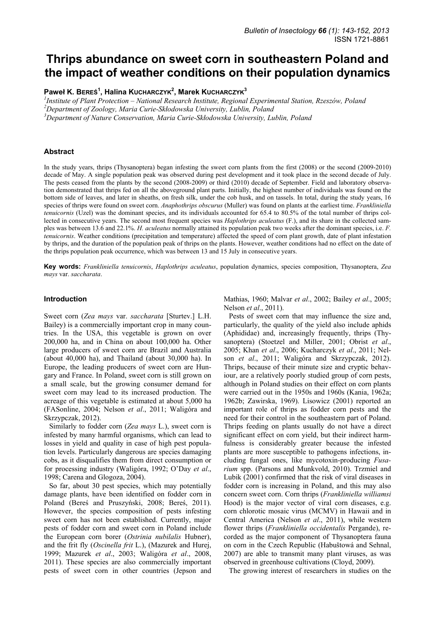# **Thrips abundance on sweet corn in southeastern Poland and the impact of weather conditions on their population dynamics**

**Paweł K. BEREŚ<sup>1</sup> , Halina KUCHARCZYK<sup>2</sup> , Marek KUCHARCZYK3**

<sup>1</sup> Institute of Plant Protection – National Research Institute, Regional Experimental Station, Rzeszów, Poland<br><sup>2</sup> Department of Zoology, Maria Gurie, Skłodowska University, Lublin, Boland *Department of Zoology, Maria Curie-Skłodowska University, Lublin, Poland 3*

*Department of Nature Conservation, Maria Curie-Skłodowska University, Lublin, Poland* 

# **Abstract**

In the study years, thrips (Thysanoptera) began infesting the sweet corn plants from the first (2008) or the second (2009-2010) decade of May. A single population peak was observed during pest development and it took place in the second decade of July. The pests ceased from the plants by the second (2008-2009) or third (2010) decade of September. Field and laboratory observation demonstrated that thrips fed on all the aboveground plant parts. Initially, the highest number of individuals was found on the bottom side of leaves, and later in sheaths, on fresh silk, under the cob husk, and on tassels. In total, during the study years, 16 species of thrips were found on sweet corn. *Anaphothrips obscurus* (Muller) was found on plants at the earliest time. *Frankliniella tenuicornis* (Uzel) was the dominant species, and its individuals accounted for 65.4 to 80.5% of the total number of thrips collected in consecutive years. The second most frequent species was *Haplothrips aculeatus* (F.), and its share in the collected samples was between 13.6 and 22.1%. *H. aculeatus* normally attained its population peak two weeks after the dominant species, i.e. *F. tenuicornis*. Weather conditions (precipitation and temperature) affected the speed of corn plant growth, date of plant infestation by thrips, and the duration of the population peak of thrips on the plants. However, weather conditions had no effect on the date of the thrips population peak occurrence, which was between 13 and 15 July in consecutive years.

**Key words:** *Frankliniella tenuicornis*, *Haplothrips aculeatus*, population dynamics, species composition, Thysanoptera, *Zea mays* var. *saccharata*.

#### **Introduction**

Sweet corn (*Zea mays* var. *saccharata* [Sturtev.] L.H. Bailey) is a commercially important crop in many countries. In the USA, this vegetable is grown on over 200,000 ha, and in China on about 100,000 ha. Other large producers of sweet corn are Brazil and Australia (about 40,000 ha), and Thailand (about 30,000 ha). In Europe, the leading producers of sweet corn are Hungary and France. In Poland, sweet corn is still grown on a small scale, but the growing consumer demand for sweet corn may lead to its increased production. The acreage of this vegetable is estimated at about 5,000 ha (FASonline, 2004; Nelson *et al*., 2011; Waligóra and Skrzypczak, 2012).

Similarly to fodder corn (*Zea mays* L.), sweet corn is infested by many harmful organisms, which can lead to losses in yield and quality in case of high pest population levels. Particularly dangerous are species damaging cobs, as it disqualifies them from direct consumption or for processing industry (Waligóra, 1992; O'Day *et al*., 1998; Carena and Glogoza, 2004).

So far, about 30 pest species, which may potentially damage plants, have been identified on fodder corn in Poland (Bereś and Pruszyński, 2008; Bereś, 2011). However, the species composition of pests infesting sweet corn has not been established. Currently, major pests of fodder corn and sweet corn in Poland include the European corn borer (*Ostrinia nubilalis* Hubner), and the frit fly (*Oscinella frit* L.), (Mazurek and Hurej, 1999; Mazurek *et al*., 2003; Waligóra *et al*., 2008, 2011). These species are also commercially important pests of sweet corn in other countries (Jepson and Mathias, 1960; Malvar *et al*., 2002; Bailey *et al*., 2005; Nelson *et al*., 2011).

Pests of sweet corn that may influence the size and, particularly, the quality of the yield also include aphids (Aphididae) and, increasingly frequently, thrips (Thysanoptera) (Stoetzel and Miller, 2001; Obrist *et al*., 2005; Khan *et al*., 2006; Kucharczyk *et al*., 2011; Nelson *et al*., 2011; Waligóra and Skrzypczak, 2012). Thrips, because of their minute size and cryptic behaviour, are a relatively poorly studied group of corn pests, although in Poland studies on their effect on corn plants were carried out in the 1950s and 1960s (Kania, 1962a; 1962b; Zawirska, 1969). Lisowicz (2001) reported an important role of thrips as fodder corn pests and the need for their control in the southeastern part of Poland. Thrips feeding on plants usually do not have a direct significant effect on corn yield, but their indirect harmfulness is considerably greater because the infested plants are more susceptible to pathogens infections, including fungal ones, like mycotoxin-producing *Fusarium* spp. (Parsons and Munkvold, 2010). Trzmiel and Lubik (2001) confirmed that the risk of viral diseases in fodder corn is increasing in Poland, and this may also concern sweet corn. Corn thrips (*Frankliniella williamsi*  Hood) is the major vector of viral corn diseases, e.g. corn chlorotic mosaic virus (MCMV) in Hawaii and in Central America (Nelson *et al*., 2011), while western flower thrips (*Frankliniella occidentalis* Pergande), recorded as the major component of Thysanoptera fauna on corn in the Czech Republic (Habuštowá and Sehnal, 2007) are able to transmit many plant viruses, as was observed in greenhouse cultivations (Cloyd, 2009).

The growing interest of researchers in studies on the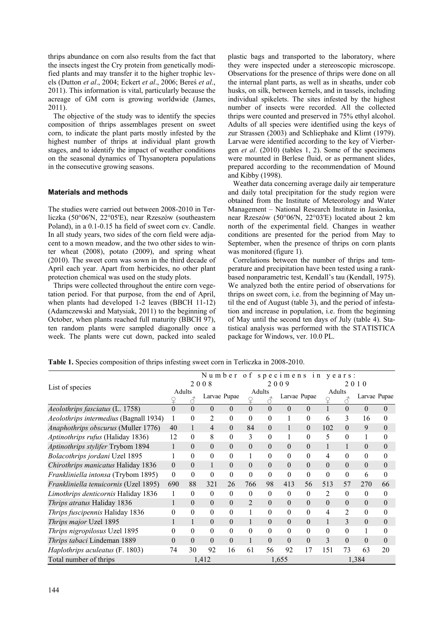thrips abundance on corn also results from the fact that the insects ingest the Cry protein from genetically modified plants and may transfer it to the higher trophic levels (Dutton *et al*., 2004; Eckert *et al*., 2006; Bereś *et al*., 2011). This information is vital, particularly because the acreage of GM corn is growing worldwide (James, 2011).

The objective of the study was to identify the species composition of thrips assemblages present on sweet corn, to indicate the plant parts mostly infested by the highest number of thrips at individual plant growth stages, and to identify the impact of weather conditions on the seasonal dynamics of Thysanoptera populations in the consecutive growing seasons.

# **Materials and methods**

The studies were carried out between 2008-2010 in Terliczka (50°06'N, 22°05'E), near Rzeszów (southeastern Poland), in a 0.1-0.15 ha field of sweet corn cv. Candle. In all study years, two sides of the corn field were adjacent to a mown meadow, and the two other sides to winter wheat (2008), potato (2009), and spring wheat (2010). The sweet corn was sown in the third decade of April each year. Apart from herbicides, no other plant protection chemical was used on the study plots.

Thrips were collected throughout the entire corn vegetation period. For that purpose, from the end of April, when plants had developed 1-2 leaves (BBCH 11-12) (Adamczewski and Matysiak, 2011) to the beginning of October, when plants reached full maturity (BBCH 97), ten random plants were sampled diagonally once a week. The plants were cut down, packed into sealed plastic bags and transported to the laboratory, where they were inspected under a stereoscopic microscope. Observations for the presence of thrips were done on all the internal plant parts, as well as in sheaths, under cob husks, on silk, between kernels, and in tassels, including individual spikelets. The sites infested by the highest number of insects were recorded. All the collected thrips were counted and preserved in 75% ethyl alcohol. Adults of all species were identified using the keys of zur Strassen (2003) and Schliephake and Klimt (1979). Larvae were identified according to the key of Vierbergen *et al*. (2010) (tables 1, 2). Some of the specimens were mounted in Berlese fluid, or as permanent slides, prepared according to the recommendation of Mound and Kibby (1998).

Weather data concerning average daily air temperature and daily total precipitation for the study region were obtained from the Institute of Meteorology and Water Management – National Research Institute in Jasionka, near Rzeszów (50°06'N, 22°03'E) located about 2 km north of the experimental field. Changes in weather conditions are presented for the period from May to September, when the presence of thrips on corn plants was monitored (figure 1).

Correlations between the number of thrips and temperature and precipitation have been tested using a rankbased nonparametric test, Kendall's tau (Kendall, 1975). We analyzed both the entire period of observations for thrips on sweet corn, i.e. from the beginning of May until the end of August (table 3), and the period of infestation and increase in population, i.e. from the beginning of May until the second ten days of July (table 4). Statistical analysis was performed with the STATISTICA package for Windows, ver. 10.0 PL.

**Table 1.** Species composition of thrips infesting sweet corn in Terliczka in 2008-2010.

|                                        |              |          |                |              |              |                     | Number of specimens in years: |                  |                  |                     |          |              |
|----------------------------------------|--------------|----------|----------------|--------------|--------------|---------------------|-------------------------------|------------------|------------------|---------------------|----------|--------------|
| List of species                        |              | 2008     |                |              | 2009         |                     |                               | 2010             |                  |                     |          |              |
|                                        |              | Adults   |                | Larvae Pupae | Adults       |                     | Larvae Pupae                  |                  |                  | Adults              |          | Larvae Pupae |
|                                        | ¥            |          |                |              | ♀            | $\vec{\mathcal{S}}$ |                               |                  |                  | $\vec{\mathcal{S}}$ |          |              |
| Aeolothrips fasciatus (L. 1758)        | $\theta$     | $\theta$ | $\theta$       | $\theta$     | $\theta$     | $\Omega$            | $\theta$                      | $\mathbf{0}$     | $\mathbf{1}$     | $\theta$            | $\theta$ | $\Omega$     |
| Aeolothrips intermedius (Bagnall 1934) | 1            | 0        | 2              | $\mathbf{0}$ | $\theta$     | $\boldsymbol{0}$    |                               | $\boldsymbol{0}$ | 6                | 3                   | 16       | $\theta$     |
| Anaphothrips obscurus (Muller 1776)    | 40           | 1        | $\overline{4}$ | $\Omega$     | 84           | $\Omega$            |                               | $\Omega$         | 102              | $\theta$            | 9        | $\theta$     |
| Aptinothrips rufus (Haliday 1836)      | 12           | $\Omega$ | 8              | $\theta$     | 3            | $\theta$            |                               | $\theta$         | 5                | $\theta$            | 1        | $\theta$     |
| Aptinothrips stylifer Trybom 1894      | 1            | $\Omega$ | $\theta$       | $\Omega$     | $\theta$     | $\Omega$            | $\theta$                      | $\Omega$         | $\mathbf{1}$     | 1                   | $\theta$ | $\theta$     |
| Bolacothrips jordani Uzel 1895         |              | 0        | $\theta$       | $\theta$     | 1            | $\theta$            | $\mathbf{0}$                  | $\boldsymbol{0}$ | $\overline{4}$   | $\theta$            | $\theta$ | 0            |
| Chirothrips manicatus Haliday 1836     | $\Omega$     | 0        | 1              | $\Omega$     | $\Omega$     | $\Omega$            | $\theta$                      | $\Omega$         | $\Omega$         | $\theta$            | $\theta$ | $\theta$     |
| Frankliniella intonsa (Trybom 1895)    | $\mathbf{0}$ | 0        | $\Omega$       | $\theta$     | $\Omega$     | $\Omega$            | $\theta$                      | $\theta$         | $\theta$         | $\theta$            | 6        | $\Omega$     |
| Frankliniella tenuicornis (Uzel 1895)  | 690          | 88       | 321            | 26           | 766          | 98                  | 413                           | 56               | 513              | 57                  | 270      | 66           |
| Limothrips denticornis Haliday 1836    | 1            | $\Omega$ | $\theta$       | $\theta$     | $\mathbf{0}$ | $\theta$            | $\boldsymbol{0}$              | $\boldsymbol{0}$ | 2                | $\theta$            | $\theta$ | $\theta$     |
| Thrips atratus Haliday 1836            |              | 0        | $\Omega$       | $\Omega$     | 2            | $\Omega$            | $\theta$                      | $\Omega$         | $\Omega$         | $\Omega$            | $\theta$ | $\theta$     |
| Thrips fuscipennis Haliday 1836        | $\Omega$     | 0        | $\Omega$       | $\Omega$     | 1            | $\theta$            | $\theta$                      | $\boldsymbol{0}$ | $\overline{4}$   | 2                   | $\theta$ | $\Omega$     |
| Thrips major Uzel 1895                 |              |          | $\Omega$       | $\Omega$     | 1            | $\Omega$            | $\theta$                      | $\Omega$         | $\mathbf{1}$     | 3                   | $\theta$ | $\theta$     |
| Thrips nigropilosus Uzel 1895          | $\theta$     | 0        | $\theta$       | $\theta$     | $\theta$     | $\theta$            | $\theta$                      | $\theta$         | $\boldsymbol{0}$ | $\theta$            | 1        | $\theta$     |
| Thrips tabaci Lindeman 1889            | $\Omega$     | 0        | $\Omega$       | $\Omega$     | $\mathbf{1}$ | $\theta$            | $\theta$                      | $\theta$         | 3                | $\theta$            | $\theta$ | $\theta$     |
| Haplothrips aculeatus (F. 1803)        | 74           | 30       | 92             | 16           | 61           | 56                  | 92                            | 17               | 151              | 73                  | 63       | 20           |
| Total number of thrips                 |              |          | 1,412          |              |              |                     | 1,655                         |                  |                  |                     | 1,384    |              |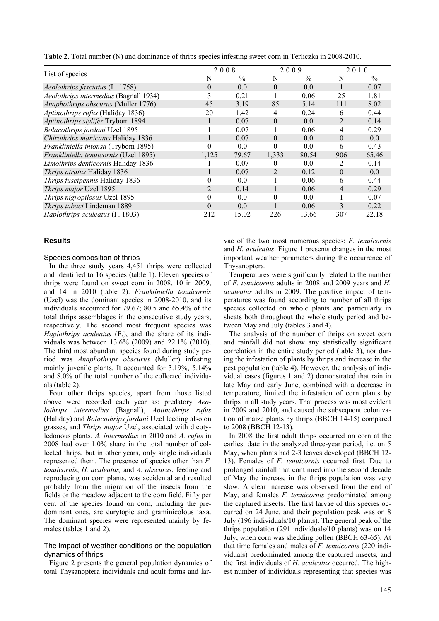| List of species                        | 2008     |       | 2009           |               |                | 2010          |
|----------------------------------------|----------|-------|----------------|---------------|----------------|---------------|
|                                        | N        | $\%$  | N              | $\frac{0}{0}$ | N              | $\frac{0}{0}$ |
| Aeolothrips fasciatus (L. 1758)        | $\theta$ | 0.0   | $\theta$       | 0.0           | 1              | 0.07          |
| Aeolothrips intermedius (Bagnall 1934) | 3        | 0.21  | Ι.             | 0.06          | 25             | 1.81          |
| Anaphothrips obscurus (Muller 1776)    | 45       | 3.19  | 85             | 5.14          | 111            | 8.02          |
| Aptinothrips rufus (Haliday 1836)      | 20       | 1.42  | $\overline{4}$ | 0.24          | 6              | 0.44          |
| Aptinothrips stylifer Trybom 1894      |          | 0.07  | $\theta$       | 0.0           | 2              | 0.14          |
| Bolacothrips jordani Uzel 1895         |          | 0.07  |                | 0.06          | $\overline{4}$ | 0.29          |
| Chirothrips manicatus Haliday 1836     |          | 0.07  | $\overline{0}$ | 0.0           | $\mathbf{0}$   | $0.0\,$       |
| Frankliniella intonsa (Trybom 1895)    | $\theta$ | 0.0   | $\theta$       | 0.0           | 6              | 0.43          |
| Frankliniella tenuicornis (Uzel 1895)  | 1,125    | 79.67 | 1,333          | 80.54         | 906            | 65.46         |
| Limothrips denticornis Haliday 1836    |          | 0.07  | $\Omega$       | 0.0           | 2              | 0.14          |
| Thrips atratus Haliday 1836            |          | 0.07  | $\overline{2}$ | 0.12          | $\theta$       | 0.0           |
| Thrips fuscipennis Haliday 1836        | 0        | 0.0   |                | 0.06          | 6              | 0.44          |
| Thrips major Uzel 1895                 | 2        | 0.14  |                | 0.06          | $\overline{4}$ | 0.29          |
| Thrips nigropilosus Uzel 1895          | 0        | 0.0   | $\theta$       | 0.0           | 1              | 0.07          |
| Thrips tabaci Lindeman 1889            | $\Omega$ | 0.0   |                | 0.06          | 3              | 0.22          |
| Haplothrips aculeatus (F. 1803)        | 212      | 15.02 | 226            | 13.66         | 307            | 22.18         |

**Table 2.** Total number (N) and dominance of thrips species infesting sweet corn in Terliczka in 2008-2010.

## **Results**

## Species composition of thrips

In the three study years 4,451 thrips were collected and identified to 16 species (table 1). Eleven species of thrips were found on sweet corn in 2008, 10 in 2009, and 14 in 2010 (table 2). *Frankliniella tenuicornis* (Uzel) was the dominant species in 2008-2010, and its individuals accounted for 79.67; 80.5 and 65.4% of the total thrips assemblages in the consecutive study years, respectively. The second most frequent species was *Haplothrips aculeatus* (F.), and the share of its individuals was between 13.6% (2009) and 22.1% (2010). The third most abundant species found during study period was *Anaphothrips obscurus* (Muller) infesting mainly juvenile plants. It accounted for 3.19%, 5.14% and 8.0% of the total number of the collected individuals (table 2).

Four other thrips species, apart from those listed above were recorded each year as: predatory *Aeolothrips intermedius* (Bagnall), *Aptinothrips rufus*  (Haliday) and *Bolacothrips jordani* Uzel feeding also on grasses, and *Thrips major* Uzel, associated with dicotyledonous plants. *A. intermedius* in 2010 and *A. rufus* in 2008 had over 1.0% share in the total number of collected thrips, but in other years, only single individuals represented them. The presence of species other than *F. tenuicornis*, *H. aculeatus,* and *A. obscurus*, feeding and reproducing on corn plants, was accidental and resulted probably from the migration of the insects from the fields or the meadow adjacent to the corn field. Fifty per cent of the species found on corn, including the predominant ones, are eurytopic and graminicolous taxa. The dominant species were represented mainly by females (tables 1 and 2).

## The impact of weather conditions on the population dynamics of thrips

Figure 2 presents the general population dynamics of total Thysanoptera individuals and adult forms and larvae of the two most numerous species: *F. tenuicornis* and *H. aculeatus*. Figure 1 presents changes in the most important weather parameters during the occurrence of Thysanoptera.

Temperatures were significantly related to the number of *F. tenuicornis* adults in 2008 and 2009 years and *H. aculeatus* adults in 2009. The positive impact of temperatures was found according to number of all thrips species collected on whole plants and particularly in sheats both throughout the whole study period and between May and July (tables 3 and 4).

The analysis of the number of thrips on sweet corn and rainfall did not show any statistically significant correlation in the entire study period (table 3), nor during the infestation of plants by thrips and increase in the pest population (table 4). However, the analysis of individual cases (figures 1 and 2) demonstrated that rain in late May and early June, combined with a decrease in temperature, limited the infestation of corn plants by thrips in all study years. That process was most evident in 2009 and 2010, and caused the subsequent colonization of maize plants by thrips (BBCH 14-15) compared to 2008 (BBCH 12-13).

In 2008 the first adult thrips occurred on corn at the earliest date in the analyzed three-year period, i.e. on 5 May, when plants had 2-3 leaves developed (BBCH 12- 13). Females of *F. tenuicornis* occurred first*.* Due to prolonged rainfall that continued into the second decade of May the increase in the thrips population was very slow. A clear increase was observed from the end of May, and females *F. tenuicornis* predominated among the captured insects. The first larvae of this species occurred on 24 June, and their population peak was on 8 July (196 individuals/10 plants). The general peak of the thrips population (291 individuals/10 plants) was on 14 July, when corn was shedding pollen (BBCH 63-65). At that time females and males of *F. tenuicornis* (220 individuals) predominated among the captured insects, and the first individuals of *H. aculeatus* occurred. The highest number of individuals representing that species was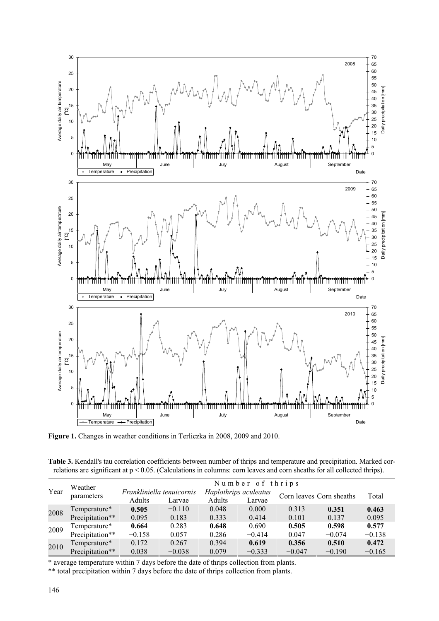

**Figure 1.** Changes in weather conditions in Terliczka in 2008, 2009 and 2010.

**Table 3.** Kendall's tau correlation coefficients between number of thrips and temperature and precipitation. Marked correlations are significant at p < 0.05. (Calculations in columns: corn leaves and corn sheaths for all collected thrips).

| Year | Weather         | Number of thrips          |          |                       |          |                          |          |          |  |  |
|------|-----------------|---------------------------|----------|-----------------------|----------|--------------------------|----------|----------|--|--|
|      | parameters      | Frankliniella tenuicornis |          | Haplothrips aculeatus |          | Corn leaves Corn sheaths |          | Total    |  |  |
|      |                 | Adults                    | Larvae   | Adults                | Larvae   |                          |          |          |  |  |
| 2008 | Temperature*    | 0.505                     | $-0.110$ | 0.048                 | 0.000    | 0.313                    | 0.351    | 0.463    |  |  |
|      | Precipitation** | 0.095                     | 0.183    | 0.333                 | 0.414    | 0.101                    | 0.137    | 0.095    |  |  |
| 2009 | Temperature*    | 0.664                     | 0.283    | 0.648                 | 0.690    | 0.505                    | 0.598    | 0.577    |  |  |
|      | Precipitation** | $-0.158$                  | 0.057    | 0.286                 | $-0.414$ | 0.047                    | $-0.074$ | $-0.138$ |  |  |
| 2010 | Temperature*    | 0.172                     | 0.267    | 0.394                 | 0.619    | 0.356                    | 0.510    | 0.472    |  |  |
|      | Precipitation** | 0.038                     | $-0.038$ | 0.079                 | $-0.333$ | $-0.047$                 | $-0.190$ | $-0.165$ |  |  |

\* average temperature within 7 days before the date of thrips collection from plants.

\*\* total precipitation within 7 days before the date of thrips collection from plants.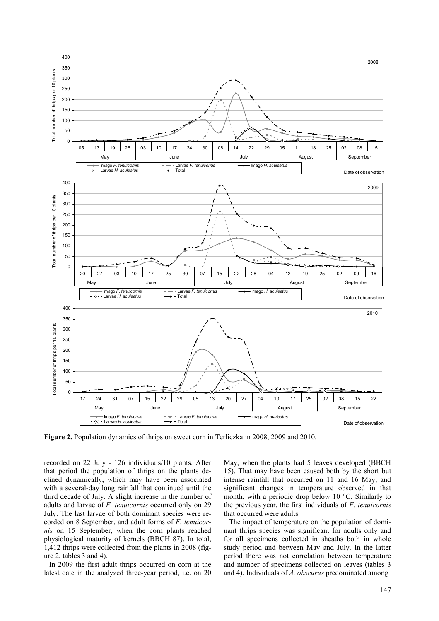

**Figure 2.** Population dynamics of thrips on sweet corn in Terliczka in 2008, 2009 and 2010.

recorded on 22 July - 126 individuals/10 plants. After that period the population of thrips on the plants declined dynamically, which may have been associated with a several-day long rainfall that continued until the third decade of July. A slight increase in the number of adults and larvae of *F. tenuicornis* occurred only on 29 July. The last larvae of both dominant species were recorded on 8 September, and adult forms of *F. tenuicornis* on 15 September, when the corn plants reached physiological maturity of kernels (BBCH 87). In total, 1,412 thrips were collected from the plants in 2008 (figure 2, tables 3 and 4).

In 2009 the first adult thrips occurred on corn at the latest date in the analyzed three-year period, i.e. on 20

May, when the plants had 5 leaves developed (BBCH 15). That may have been caused both by the short but intense rainfall that occurred on 11 and 16 May, and significant changes in temperature observed in that month, with a periodic drop below 10 °C. Similarly to the previous year, the first individuals of *F. tenuicornis* that occurred were adults.

The impact of temperature on the population of dominant thrips species was significant for adults only and for all specimens collected in sheaths both in whole study period and between May and July. In the latter period there was not correlation between temperature and number of specimens collected on leaves (tables 3 and 4). Individuals of *A. obscurus* predominated among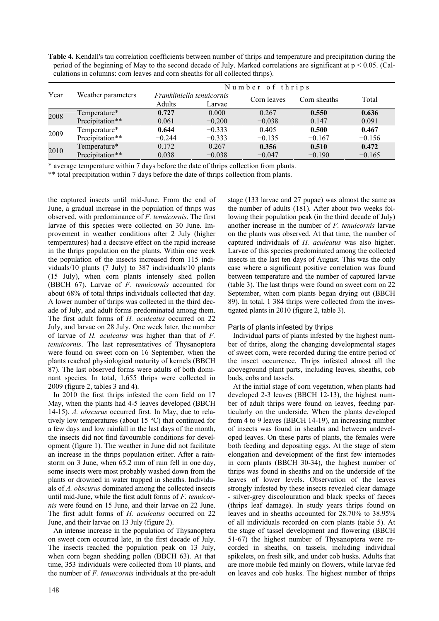**Table 4.** Kendall's tau correlation coefficients between number of thrips and temperature and precipitation during the period of the beginning of May to the second decade of July. Marked correlations are significant at  $p < 0.05$ . (Calculations in columns: corn leaves and corn sheaths for all collected thrips).

|      |                    | Number of thrips |                           |             |              |          |  |  |  |
|------|--------------------|------------------|---------------------------|-------------|--------------|----------|--|--|--|
| Year | Weather parameters |                  | Frankliniella tenuicornis | Corn leaves | Corn sheaths | Total    |  |  |  |
|      |                    | Adults           | Larvae                    |             |              |          |  |  |  |
| 2008 | Temperature*       | 0.727            | 0.000                     | 0.267       | 0.550        | 0.636    |  |  |  |
|      | Precipitation**    | 0.061            | $-0,200$                  | $-0,038$    | 0.147        | 0.091    |  |  |  |
| 2009 | Temperature*       | 0.644            | $-0.333$                  | 0.405       | 0.500        | 0.467    |  |  |  |
|      | Precipitation**    | $-0.244$         | $-0.333$                  | $-0.135$    | $-0.167$     | $-0.156$ |  |  |  |
| 2010 | Temperature*       | 0.172            | 0.267                     | 0.356       | 0.510        | 0.472    |  |  |  |
|      | Precipitation**    | 0.038            | $-0.038$                  | $-0.047$    | $-0.190$     | $-0.165$ |  |  |  |

\* average temperature within 7 days before the date of thrips collection from plants.

\*\* total precipitation within 7 days before the date of thrips collection from plants.

the captured insects until mid-June. From the end of June, a gradual increase in the population of thrips was observed, with predominance of *F. tenuicornis*. The first larvae of this species were collected on 30 June. Improvement in weather conditions after 2 July (higher temperatures) had a decisive effect on the rapid increase in the thrips population on the plants. Within one week the population of the insects increased from 115 individuals/10 plants (7 July) to 387 individuals/10 plants (15 July), when corn plants intensely shed pollen (BBCH 67). Larvae of *F. tenuicornis* accounted for about 68% of total thrips individuals collected that day*.* A lower number of thrips was collected in the third decade of July, and adult forms predominated among them. The first adult forms of *H. aculeatus* occurred on 22 July, and larvae on 28 July. One week later, the number of larvae of *H. aculeatus* was higher than that of *F. tenuicornis*. The last representatives of Thysanoptera were found on sweet corn on 16 September, when the plants reached physiological maturity of kernels (BBCH 87). The last observed forms were adults of both dominant species. In total, 1,655 thrips were collected in 2009 (figure 2, tables 3 and 4).

In 2010 the first thrips infested the corn field on 17 May, when the plants had 4-5 leaves developed (BBCH 14-15). *A. obscurus* occurred first*.* In May, due to relatively low temperatures (about 15 °C) that continued for a few days and low rainfall in the last days of the month, the insects did not find favourable conditions for development (figure 1). The weather in June did not facilitate an increase in the thrips population either. After a rainstorm on 3 June, when 65.2 mm of rain fell in one day, some insects were most probably washed down from the plants or drowned in water trapped in sheaths. Individuals of *A. obscurus* dominated among the collected insects until mid-June, while the first adult forms of *F. tenuicornis* were found on 15 June, and their larvae on 22 June. The first adult forms of *H. aculeatus* occurred on 22 June, and their larvae on 13 July (figure 2).

An intense increase in the population of Thysanoptera on sweet corn occurred late, in the first decade of July. The insects reached the population peak on 13 July, when corn began shedding pollen (BBCH 63). At that time, 353 individuals were collected from 10 plants, and the number of *F. tenuicornis* individuals at the pre-adult stage (133 larvae and 27 pupae) was almost the same as the number of adults (181). After about two weeks following their population peak (in the third decade of July) another increase in the number of *F. tenuicornis* larvae on the plants was observed. At that time, the number of captured individuals of *H. aculeatus* was also higher. Larvae of this species predominated among the collected insects in the last ten days of August. This was the only case where a significant positive correlation was found between temperature and the number of captured larvae (table 3). The last thrips were found on sweet corn on 22 September, when corn plants began drying out (BBCH 89). In total, 1 384 thrips were collected from the investigated plants in 2010 (figure 2, table 3).

## Parts of plants infested by thrips

Individual parts of plants infested by the highest number of thrips, along the changing developmental stages of sweet corn, were recorded during the entire period of the insect occurrence. Thrips infested almost all the aboveground plant parts, including leaves, sheaths, cob buds, cobs and tassels.

At the initial stage of corn vegetation, when plants had developed 2-3 leaves (BBCH 12-13), the highest number of adult thrips were found on leaves, feeding particularly on the underside. When the plants developed from 4 to 9 leaves (BBCH 14-19), an increasing number of insects was found in sheaths and between undeveloped leaves. On these parts of plants, the females were both feeding and depositing eggs. At the stage of stem elongation and development of the first few internodes in corn plants (BBCH 30-34), the highest number of thrips was found in sheaths and on the underside of the leaves of lower levels. Observation of the leaves strongly infested by these insects revealed clear damage - silver-grey discolouration and black specks of faeces (thrips leaf damage). In study years thrips found on leaves and in sheaths accounted for 28.70% to 38.95% of all individuals recorded on corn plants (table 5). At the stage of tassel development and flowering (BBCH 51-67) the highest number of Thysanoptera were recorded in sheaths, on tassels, including individual spikelets, on fresh silk, and under cob husks. Adults that are more mobile fed mainly on flowers, while larvae fed on leaves and cob husks. The highest number of thrips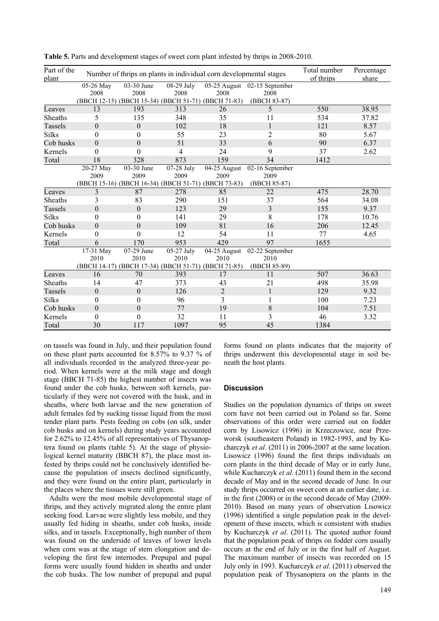| Part of the<br>plant |                  | Number of thrips on plants in individual corn developmental stages | Total number<br>of thrips | Percentage<br>share       |                              |      |       |
|----------------------|------------------|--------------------------------------------------------------------|---------------------------|---------------------------|------------------------------|------|-------|
|                      | 05-26 May        | 03-30 June                                                         | 08-29 July                |                           | 05-25 August 02-15 September |      |       |
|                      | 2008             | 2008                                                               | 2008                      | 2008                      | 2008                         |      |       |
|                      |                  | (BBCH 12-15) (BBCH 15-34) (BBCH 51-71) (BBCH 71-83)                |                           |                           | (BBCH 83-87)                 |      |       |
| Leaves               | 13               | 193                                                                | 313                       | 26                        | 5                            | 550  | 38.95 |
| Sheaths              | 5                | 135                                                                | 348                       | 35                        | 11                           | 534  | 37.82 |
| Tassels              | $\theta$         | $\boldsymbol{0}$                                                   | 102                       | 18                        | $\mathbf{1}$                 | 121  | 8.57  |
| <b>Silks</b>         | $\theta$         | $\boldsymbol{0}$                                                   | 55                        | 23                        | $\overline{2}$               | 80   | 5.67  |
| Cob husks            | $\theta$         | $\boldsymbol{0}$                                                   | 51                        | 33                        | 6                            | 90   | 6.37  |
| Kernels              | $\theta$         | $\theta$                                                           | 4                         | 24                        | 9                            | 37   | 2.62  |
| Total                | 18               | 328                                                                | 873                       | 159                       | 34                           | 1412 |       |
|                      | 20-27 May        | 03-30 June                                                         | 07-28 July                | 04-25 August              | 02-16 September              |      |       |
|                      | 2009             | 2009                                                               | 2009                      | 2009                      | 2009                         |      |       |
|                      |                  | (BBCH 15-16) (BBCH 16-34) (BBCH 51-71) (BBCH 73-83)                |                           |                           | (BBCH 85-87)                 |      |       |
| Leaves               | 3                | 87                                                                 | 278                       | 85                        | 22                           | 475  | 28.70 |
| Sheaths              | 3                | 83                                                                 | 290                       | 151                       | 37                           | 564  | 34.08 |
| Tassels              | $\boldsymbol{0}$ | $\boldsymbol{0}$                                                   | 123                       | 29                        | $\overline{3}$               | 155  | 9.37  |
| <b>Silks</b>         | $\theta$         | $\boldsymbol{0}$                                                   | 141                       | 29                        | 8                            | 178  | 10.76 |
| Cob husks            | $\theta$         | $\theta$                                                           | 109                       | 81                        | 16                           | 206  | 12.45 |
| Kernels              | $\boldsymbol{0}$ | $\boldsymbol{0}$                                                   | 12                        | 54                        | 11                           | 77   | 4.65  |
| Total                | 6                | 170                                                                | 953                       | 429                       | 97                           | 1655 |       |
|                      | 17-31 May        | 07-29 June                                                         | 05-27 July                | $\overline{04-25}$ August | 02-22 September              |      |       |
|                      | 2010             | 2010                                                               | 2010                      | 2010                      | 2010                         |      |       |
|                      |                  | (BBCH 14-17) (BBCH 17-34) (BBCH 51-71) (BBCH 71-85)                |                           |                           | (BBCH 85-89)                 |      |       |
| Leaves               | 16               | 70                                                                 | 393                       | 17                        | 11                           | 507  | 36.63 |
| Sheaths              | 14               | 47                                                                 | 373                       | 43                        | 21                           | 498  | 35.98 |
| Tassels              | $\boldsymbol{0}$ | $\boldsymbol{0}$                                                   | 126                       | $\overline{2}$            | $\mathbf{1}$                 | 129  | 9.32  |
| <b>Silks</b>         | $\theta$         | $\theta$                                                           | 96                        | 3                         |                              | 100  | 7.23  |
| Cob husks            | $\theta$         | $\overline{0}$                                                     | 77                        | 19                        | 8                            | 104  | 7.51  |
| Kernels              | $\theta$         | $\boldsymbol{0}$                                                   | 32                        | 11                        | 3                            | 46   | 3.32  |
| Total                | 30               | 117                                                                | 1097                      | 95                        | 45                           | 1384 |       |

**Table 5.** Parts and development stages of sweet corn plant infested by thrips in 2008-2010.

on tassels was found in July, and their population found on these plant parts accounted for 8.57% to 9.37 % of all individuals recorded in the analyzed three-year period. When kernels were at the milk stage and dough stage (BBCH 71-85) the highest number of insects was found under the cob husks, between soft kernels, particularly if they were not covered with the husk, and in sheaths, where both larvae and the new generation of adult females fed by sucking tissue liquid from the most tender plant parts. Pests feeding on cobs (on silk, under cob husks and on kernels) during study years accounted for 2.62% to 12.45% of all representatives of Thysanoptera found on plants (table 5). At the stage of physiological kernel maturity (BBCH 87), the place most infested by thrips could not be conclusively identified because the population of insects declined significantly, and they were found on the entire plant, particularly in the places where the tissues were still green.

Adults were the most mobile developmental stage of thrips, and they actively migrated along the entire plant seeking food. Larvae were slightly less mobile, and they usually fed hiding in sheaths, under cob husks, inside silks, and in tassels. Exceptionally, high number of them was found on the underside of leaves of lower levels when corn was at the stage of stem elongation and developing the first few internodes. Prepupal and pupal forms were usually found hidden in sheaths and under the cob husks. The low number of prepupal and pupal

forms found on plants indicates that the majority of thrips underwent this developmental stage in soil beneath the host plants.

## **Discussion**

Studies on the population dynamics of thrips on sweet corn have not been carried out in Poland so far. Some observations of this order were carried out on fodder corn by Lisowicz (1996) in Krzeczowice, near Przeworsk (southeastern Poland) in 1982-1993, and by Kucharczyk *et al*. (2011) in 2006-2007 at the same location. Lisowicz (1996) found the first thrips individuals on corn plants in the third decade of May or in early June, while Kucharczyk *et al*. (2011) found them in the second decade of May and in the second decade of June. In our study thrips occurred on sweet corn at an earlier date, i.e. in the first (2008) or in the second decade of May (2009- 2010). Based on many years of observation Lisowicz (1996) identified a single population peak in the development of these insects, which is consistent with studies by Kucharczyk *et al*. (2011). The quoted author found that the population peak of thrips on fodder corn usually occurs at the end of July or in the first half of August. The maximum number of insects was recorded on 15 July only in 1993. Kucharczyk *et al*. (2011) observed the population peak of Thysanoptera on the plants in the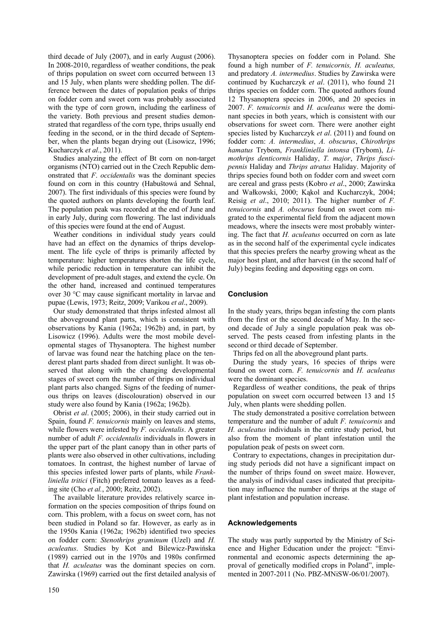third decade of July (2007), and in early August (2006). In 2008-2010, regardless of weather conditions, the peak of thrips population on sweet corn occurred between 13 and 15 July, when plants were shedding pollen. The difference between the dates of population peaks of thrips on fodder corn and sweet corn was probably associated with the type of corn grown, including the earliness of the variety. Both previous and present studies demonstrated that regardless of the corn type, thrips usually end feeding in the second, or in the third decade of September, when the plants began drying out (Lisowicz, 1996; Kucharczyk *et al*., 2011).

Studies analyzing the effect of Bt corn on non-target organisms (NTO) carried out in the Czech Republic demonstrated that *F*. *occidentalis* was the dominant species found on corn in this country (Habuštowá and Sehnal, 2007). The first individuals of this species were found by the quoted authors on plants developing the fourth leaf. The population peak was recorded at the end of June and in early July, during corn flowering. The last individuals of this species were found at the end of August.

Weather conditions in individual study years could have had an effect on the dynamics of thrips development. The life cycle of thrips is primarily affected by temperature: higher temperatures shorten the life cycle, while periodic reduction in temperature can inhibit the development of pre-adult stages, and extend the cycle. On the other hand, increased and continued temperatures over 30 °C may cause significant mortality in larvae and pupae (Lewis, 1973; Reitz, 2009; Varikou *et al*., 2009).

Our study demonstrated that thrips infested almost all the aboveground plant parts, which is consistent with observations by Kania (1962a; 1962b) and, in part, by Lisowicz (1996). Adults were the most mobile developmental stages of Thysanoptera. The highest number of larvae was found near the hatching place on the tenderest plant parts shaded from direct sunlight. It was observed that along with the changing developmental stages of sweet corn the number of thrips on individual plant parts also changed. Signs of the feeding of numerous thrips on leaves (discolouration) observed in our study were also found by Kania (1962a; 1962b).

Obrist *et al*. (2005; 2006), in their study carried out in Spain, found *F. tenuicornis* mainly on leaves and stems, while flowers were infested by *F. occidentalis*. A greater number of adult *F. occidentalis* individuals in flowers in the upper part of the plant canopy than in other parts of plants were also observed in other cultivations, including tomatoes. In contrast, the highest number of larvae of this species infested lower parts of plants, while *Frankliniella tritici* (Fitch) preferred tomato leaves as a feeding site (Cho *et al.*, 2000; Reitz, 2002).

The available literature provides relatively scarce information on the species composition of thrips found on corn. This problem, with a focus on sweet corn, has not been studied in Poland so far. However, as early as in the 1950s Kania (1962a; 1962b) identified two species on fodder corn: *Stenothrips graminum* (Uzel) and *H. aculeatus*. Studies by Kot and Bilewicz-Pawińska (1989) carried out in the 1970s and 1980s confirmed that *H. aculeatus* was the dominant species on corn. Zawirska (1969) carried out the first detailed analysis of Thysanoptera species on fodder corn in Poland. She found a high number of *F. tenuicornis, H. aculeatus,* and predatory *A. intermedius*. Studies by Zawirska were continued by Kucharczyk *et al*. (2011), who found 21 thrips species on fodder corn. The quoted authors found 12 Thysanoptera species in 2006, and 20 species in 2007. *F. tenuicornis* and *H. aculeatus* were the dominant species in both years, which is consistent with our observations for sweet corn. There were another eight species listed by Kucharczyk *et al*. (2011) and found on fodder corn: *A. intermedius*, *A. obscurus*, *Chirothrips hamatus* Trybom, *Frankliniella intonsa* (Trybom), *Limothrips denticornis* Haliday, *T. major*, *Thrips fuscipennis* Haliday and *Thrips atratus* Haliday. Majority of thrips species found both on fodder corn and sweet corn are cereal and grass pests (Kobro *et al*., 2000; Zawirska and Wałkowski, 2000; Kąkol and Kucharczyk, 2004; Reisig *et al*., 2010; 2011). The higher number of *F. tenuicornis* and *A. obscurus* found on sweet corn migrated to the experimental field from the adjacent mown meadows, where the insects were most probably wintering. The fact that *H. aculeatus* occurred on corn as late as in the second half of the experimental cycle indicates that this species prefers the nearby growing wheat as the major host plant, and after harvest (in the second half of July) begins feeding and depositing eggs on corn.

# **Conclusion**

In the study years, thrips began infesting the corn plants from the first or the second decade of May. In the second decade of July a single population peak was observed. The pests ceased from infesting plants in the second or third decade of September.

Thrips fed on all the aboveground plant parts.

During the study years, 16 species of thrips were found on sweet corn. *F. tenuicornis* and *H. aculeatus* were the dominant species.

Regardless of weather conditions, the peak of thrips population on sweet corn occurred between 13 and 15 July, when plants were shedding pollen.

The study demonstrated a positive correlation between temperature and the number of adult *F. tenuicornis* and *H. aculeatus* individuals in the entire study period, but also from the moment of plant infestation until the population peak of pests on sweet corn.

Contrary to expectations, changes in precipitation during study periods did not have a significant impact on the number of thrips found on sweet maize. However, the analysis of individual cases indicated that precipitation may influence the number of thrips at the stage of plant infestation and population increase.

# **Acknowledgements**

The study was partly supported by the Ministry of Science and Higher Education under the project: "Environmental and economic aspects determining the approval of genetically modified crops in Poland", implemented in 2007-2011 (No. PBZ-MNiSW-06/01/2007).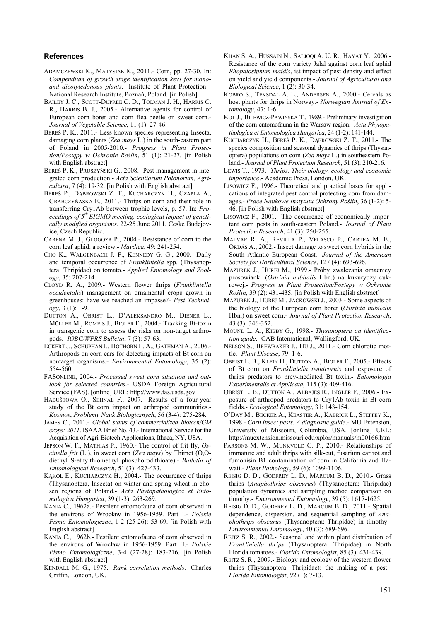## **References**

- ADAMCZEWSKI K., MATYSIAK K., 2011.- Corn, pp. 27-30. In: *Compendium of growth stage identification keys for monoand dicotyledonous plants*.- Institute of Plant Protection - National Research Institute, Poznań, Poland. [in Polish]
- BAILEY J. C., SCOTT-DUPREE C. D., TOLMAN J. H., HARRIS C. R., HARRIS B. J., 2005.- Alternative agents for control of European corn borer and corn flea beetle on sweet corn.- *Journal of Vegetable Science*, 11 (1): 27-46.
- BEREŚ P. K., 2011.- Less known species representing Insecta, damaging corn plants (*Zea mays* L.) in the south-eastern part of Poland in 2005-2010.- *Progress in Plant Protection/Postępy w Ochronie Roślin*, 51 (1): 21-27. [in Polish with English abstract]
- BEREŚ P. K., PRUSZYŃSKI G., 2008.- Pest management in integrated corn production.- *Acta Scientiarum Polonorum, Agricultura*, 7 (4): 19-32. [in Polish with English abstract]
- BEREŚ P., DĄBROWSKI Z. T., KUCHARCZYK H., CZAPLA A., GRABCZYŃASKA E., 2011.- Thrips on corn and their role in transferring Cry1Ab between trophic levels, p. 57. In: *Proceedings of 5th EIGMO meeting, ecological impact of genetically modified organisms*. 22-25 June 2011, Ceske Budejovice, Czech Republic.
- CARENA M. J., GLOGOZA P., 2004.- Resistance of corn to the corn leaf aphid: a review.- *Maydica*, 49: 241-254.
- CHO K., WALGENBACH J. F., KENNEDY G. G., 2000.- Daily and temporal occurrence of *Frankliniella* spp. (Thysanoptera: Thripidae) on tomato.- *Applied Entomology and Zoology*, 35: 207-214.
- CLOYD R. A., 2009.- Western flower thrips (*Frankliniella occidentalis*) management on ornamental crops grown in greenhouses: have we reached an impasse?- *Pest Technology*, 3 (1): 1-9.
- DUTTON A., OBRIST L., D'ALEKSANDRO M., DIENER L., MÜLLER M., ROMEIS J., BIGLER F., 2004.- Tracking Bt-toxin in transgenic corn to assess the risks on non-target arthropods.- *IOBC/WPRS Bulletin*, 7 (3): 57-63.
- ECKERT J., SCHUPHAN I., HOTHORN L. A., GATHMAN A., 2006.- Arthropods on corn ears for detecting impacts of Bt corn on nontarget organisms.- *Environmental Entomology*, 35 (2): 554-560.
- FASONLINE, 2004.- *Processed sweet corn situation and outlook for selected countries*.- USDA Foreign Agricultural Service (FAS). [online] URL: http://www.fas.usda.gov
- HABUŠTOWÁ O., SEHNAL F., 2007.- Results of a four-year study of the Bt corn impact on arthropod communities.- *Kosmos*, *Problemy Nauk Biologicznych*, 56 (3-4): 275-284.
- JAMES C., 2011.- *Global status of commercialized biotech/GM crops: 2011*. ISAAA Brief No. 43.- International Service for the Acquisition of Agri-Biotech Applications, Ithaca, NY, USA.
- JEPSON W. F., MATHIAS P., 1960.- The control of frit fly, *Oscinella frit* (L.), in sweet corn (*Zea mays*) by Thimet (O,Odiethyl S-ethylthiomethyl phosphorodithioate).- *Bulletin of Entomological Research*, 51 (3): 427-433.
- KĄKOL E., KUCHARCZYK H., 2004.- The occurrence of thrips (Thysanoptera, Insecta) on winter and spring wheat in chosen regions of Poland.- *Acta Phytopathologica et Entomologica Hungarica*, 39 (1-3): 263-269.
- KANIA C., 1962a.- Pestilent entomofauna of corn observed in the environs of Wrocław in 1956-1959. Part I.- *Polskie Pismo Entomologiczne*, 1-2 (25-26): 53-69. [in Polish with English abstract]
- KANIA C., 1962b.- Pestilent entomofauna of corn observed in the environs of Wrocław in 1956-1959. Part II.- *Polskie Pismo Entomologiczne*, 3-4 (27-28): 183-216. [in Polish with English abstract]
- KENDALL M. G., 1975.- *Rank correlation methods*.- Charles Griffin, London, UK.
- KHAN S. A., HUSSAIN N., SALJOQI A. U. R., HAYAT Y., 2006.- Resistance of the corn variety Jalal against corn leaf aphid *Rhopalosiphum maidis*, ist impact of pest density and effect on yield and yield components.- *Journal of Agricultural and Biological Science*, 1 (2): 30-34.
- KOBRO S., TEKSDAL A. E., ANDERSEN A., 2000.- Cereals as host plants for thrips in Norway.- *Norwegian Journal of Entomology*, 47: 1-6.
- KOT J., BILEWICZ-PAWINSKA T., 1989.- Preliminary investigation of the corn entomofauna in the Warsaw region.- *Acta Phytopathologica et Entomologica Hungarica*, 24 (1-2): 141-144.
- KUCHARCZYK H., BEREŚ P. K., DĄBROWSKI Z. T., 2011.- The species composition and seasonal dynamics of thrips (Thysanoptera) populations on corn (*Zea mays* L.) in southeastern Poland.- *Journal of Plant Protection Research*, 51 (3): 210-216.
- LEWIS T., 1973.- *Thrips. Their biology, ecology and economic importance*.- Academic Press, London, UK.
- LISOWICZ F., 1996.- Theoretical and practical bases for applications of integrated pest control protecting corn from damages.- *Prace Naukowe Instytutu Ochrony Roślin*, 36 (1-2): 5- 46. [in Polish with English abstract]
- LISOWICZ F., 2001.- The occurrence of economically important corn pests in south-eastern Poland.- *Journal of Plant Protection Research*, 41 (3): 250-255.
- MALVAR R. A., REVILLA P., VELASCO P., CARTEA M. E., ORDÁS A., 2002.- Insect damage to sweet corn hybrids in the South Atlantic European Coast.- *Journal of the American Society for Horticultural Science*, 127 (4): 693-696.
- MAZUREK J., HUREJ M., 1999.- Próby zwalczania omacnicy prosowianki (*Ostrinia nubilalis* Hbn.) na kukurydzy cukrowej.- *Progress in Plant Protection/Postępy w Ochronie Roślin*, 39 (2): 431-435. [in Polish with English abstract]
- MAZUREK J., HUREJ M., JACKOWSKI J., 2003.- Some aspects of the biology of the European corn borer (*Ostrinia nubilalis* Hbn.) on sweet corn.- *Journal of Plant Protection Research*,  $43(3)$ : 346-352.
- MOUND L. A., KIBBY G., 1998.- *Thysanoptera an identification guide*.- CAB International, Wallingford, UK.
- NELSON S., BREWBAKER J., HU J., 2011.- Corn chlorotic mottle.- *Plant Disease*, 79: 1-6.
- OBRIST L. B., KLEIN H., DUTTON A., BIGLER F., 2005.- Effects of Bt corn on *Frankliniella tenuicornis* and exposure of thrips predators to prey-mediated Bt toxin.- *Entomologia Experimentalis et Applicata*, 115 (3): 409-416.
- OBRIST L. B., DUTTON A., ALBAJES R., BIGLER F., 2006.- Exposure of arthropod predators to Cry1Ab toxin in Bt corn fields.- *Ecological Entomology*, 31: 143-154.
- O'DAY M., BECKER A., KEASTER A., KABRICK L., STEFFEY K., 1998.- *Corn insect pests. A diagnostic guide*.- MU Extension, University of Missouri, Columbia, USA. [online] URL: http://muextension.missouri.edu/xplor/manuals/m00166.htm
- PARSONS M. W., MUNKVOLD G. P., 2010.- Relationships of immature and adult thrips with silk-cut, fusarium ear rot and fumonisin B1 contamination of corn in California and Hawaii.- *Plant Pathology*, 59 (6): 1099-1106.
- REISIG D. D., GODFREY L. D., MARCUM B. D., 2010.- Grass thrips (*Anaphothrips obscurus*) (Thysanoptera: Thripidae) population dynamics and sampling method comparison on timothy.- *Environmental Entomology*, 39 (5): 1617-1625.
- REISIG D. D., GODFREY L. D., MARCUM B. D., 2011.- Spatial dependence, dispersion, and sequential sampling of *Anaphothrips obscurus* (Thysanoptera: Thripidae) in timothy.- *Environmental Entomology*, 40 (3): 689-696.
- REITZ S. R., 2002.- Seasonal and within plant distribution of *Frankliniella thrips* (Thysanoptera: Thripidae) in North Florida tomatoes.- *Florida Entomologist*, 85 (3): 431-439.
- REITZ S. R., 2009.- Biology and ecology of the western flower thrips (Thysanoptera: Thripidae): the making of a pest.- *Florida Entomologist*, 92 (1): 7-13.